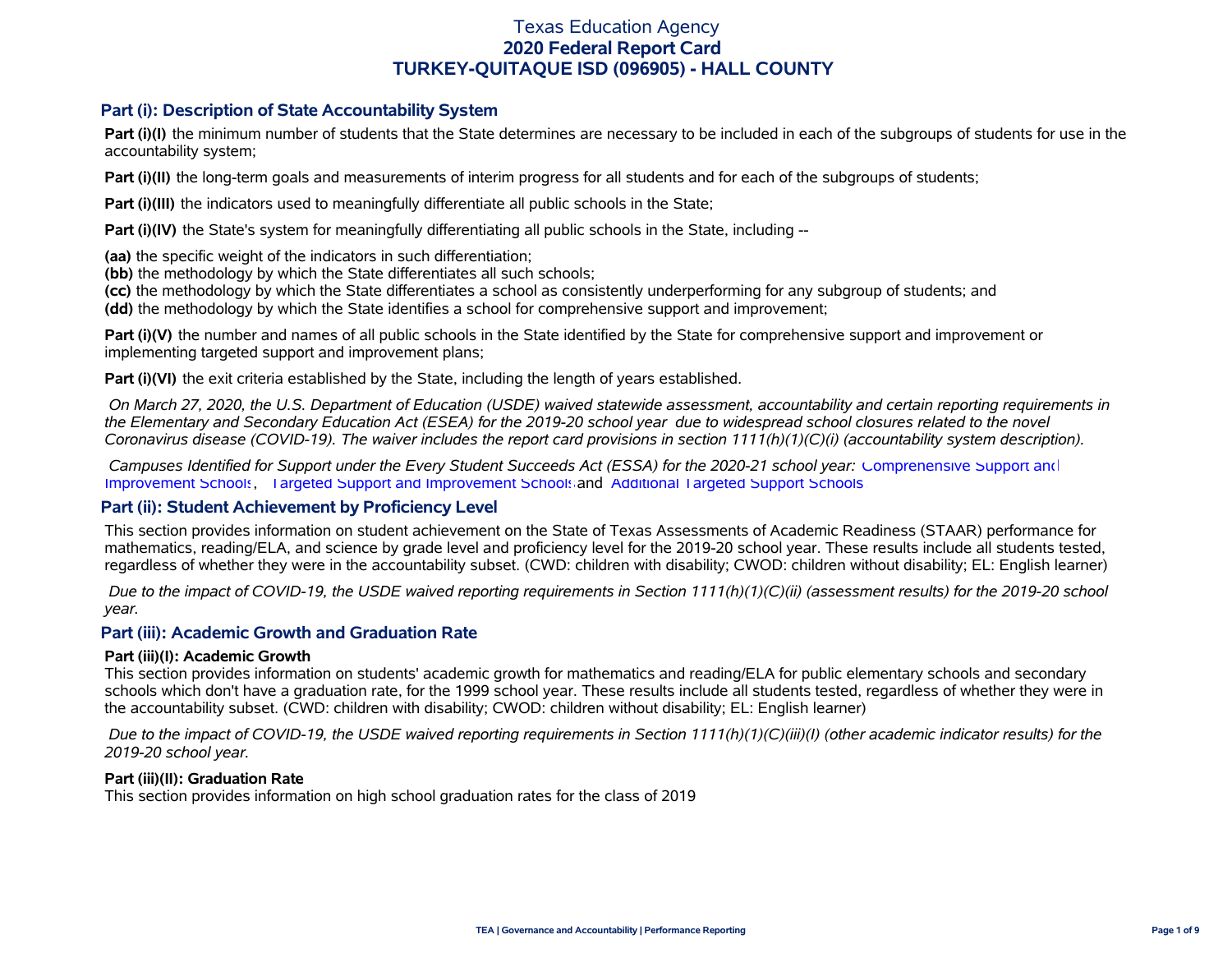## **Part (i): Description of State Accountability System**

**Part (i)(I)** the minimum number of students that the State determines are necessary to be included in each of the subgroups of students for use in the accountability system;

**Part (i)(II)** the long-term goals and measurements of interim progress for all students and for each of the subgroups of students;

**Part (i)(III)** the indicators used to meaningfully differentiate all public schools in the State;

**Part (i)(IV)** the State's system for meaningfully differentiating all public schools in the State, including --

**(aa)** the specific weight of the indicators in such differentiation;

**(bb)** the methodology by which the State differentiates all such schools;

**(cc)** the methodology by which the State differentiates a school as consistently underperforming for any subgroup of students; and

**(dd)** the methodology by which the State identifies a school for comprehensive support and improvement;

**Part (i)(V)** the number and names of all public schools in the State identified by the State for comprehensive support and improvement or implementing targeted support and improvement plans;

**Part (i)(VI)** the exit criteria established by the State, including the length of years established.

 *On March 27, 2020, the U.S. Department of Education (USDE) waived statewide assessment, accountability and certain reporting requirements in the Elementary and Secondary Education Act (ESEA) for the 2019-20 school year due to widespread school closures related to the novel Coronavirus disease (COVID-19). The waiver includes the report card provisions in section 1111(h)(1)(C)(i) (accountability system description).* 

 *Campuses Identified for Support under the Every Student Succeeds Act (ESSA) for the 2020-21 school year:* [Comprehensive Support and](https://tea.texas.gov/sites/default/files/comprehensive_support_2020.xlsx) [Improvement Schools](https://tea.texas.gov/sites/default/files/comprehensive_support_2020.xlsx), [Targeted Support and Improvement Schools](https://tea.texas.gov/sites/default/files/targeted_support_2020.xlsx) and [Additional Targeted Support Schools.](https://tea.texas.gov/sites/default/files/additional_targeted_support_2020.xlsx)

## **Part (ii): Student Achievement by Proficiency Level**

This section provides information on student achievement on the State of Texas Assessments of Academic Readiness (STAAR) performance for mathematics, reading/ELA, and science by grade level and proficiency level for the 2019-20 school year. These results include all students tested, regardless of whether they were in the accountability subset. (CWD: children with disability; CWOD: children without disability; EL: English learner)

 *Due to the impact of COVID-19, the USDE waived reporting requirements in Section 1111(h)(1)(C)(ii) (assessment results) for the 2019-20 school year.*

## **Part (iii): Academic Growth and Graduation Rate**

### **Part (iii)(I): Academic Growth**

This section provides information on students' academic growth for mathematics and reading/ELA for public elementary schools and secondary schools which don't have a graduation rate, for the 1999 school year. These results include all students tested, regardless of whether they were in the accountability subset. (CWD: children with disability; CWOD: children without disability; EL: English learner)

 *Due to the impact of COVID-19, the USDE waived reporting requirements in Section 1111(h)(1)(C)(iii)(I) (other academic indicator results) for the 2019-20 school year.*

### **Part (iii)(II): Graduation Rate**

This section provides information on high school graduation rates for the class of 2019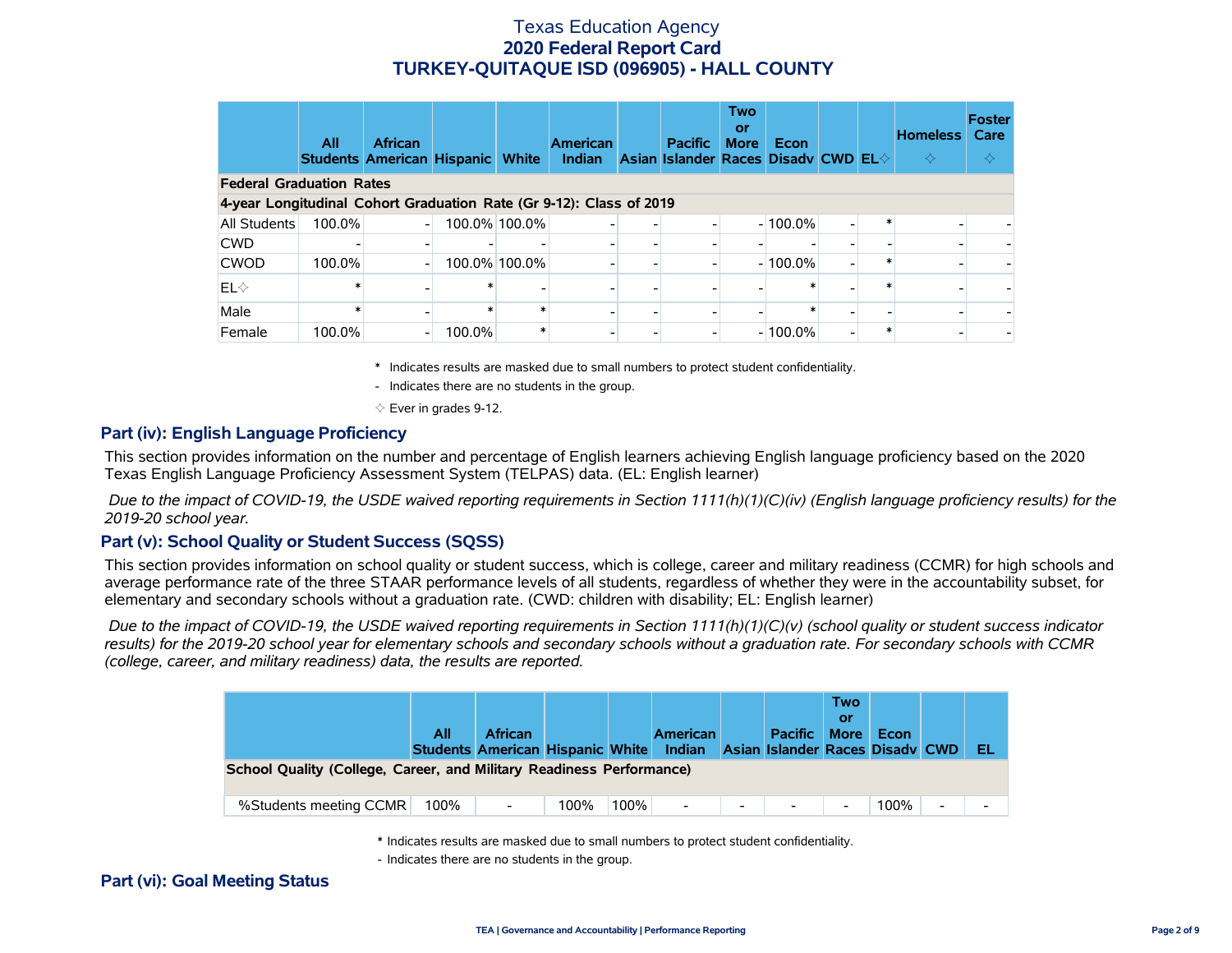|                                                                     | All    | <b>African</b><br><b>Students American Hispanic</b> |        | <b>White</b>  | <b>American</b><br>Indian | <b>Pacific</b><br>Asian Islander Races Disadv CWD EL $\diamond$ | <b>Two</b><br>or<br><b>More</b> | Econ       |  | <b>Homeless</b><br>$\Leftrightarrow$ | <b>Foster</b><br>Care<br>≺≻ |
|---------------------------------------------------------------------|--------|-----------------------------------------------------|--------|---------------|---------------------------|-----------------------------------------------------------------|---------------------------------|------------|--|--------------------------------------|-----------------------------|
| <b>Federal Graduation Rates</b>                                     |        |                                                     |        |               |                           |                                                                 |                                 |            |  |                                      |                             |
| 4-year Longitudinal Cohort Graduation Rate (Gr 9-12): Class of 2019 |        |                                                     |        |               |                           |                                                                 |                                 |            |  |                                      |                             |
| All Students                                                        | 100.0% |                                                     |        | 100.0% 100.0% |                           |                                                                 |                                 | $-100.0\%$ |  |                                      |                             |
| <b>CWD</b>                                                          |        |                                                     |        |               |                           |                                                                 |                                 |            |  |                                      |                             |
| <b>CWOD</b>                                                         | 100.0% |                                                     |        | 100.0% 100.0% |                           |                                                                 |                                 | $-100.0\%$ |  |                                      |                             |
| $EL \diamond$                                                       |        |                                                     |        |               |                           |                                                                 |                                 |            |  |                                      |                             |
| Male                                                                |        |                                                     |        | $\ast$        |                           |                                                                 |                                 |            |  |                                      | $\overline{\phantom{0}}$    |
| Female                                                              | 100.0% |                                                     | 100.0% | $\ast$        |                           |                                                                 |                                 | $-100.0\%$ |  |                                      |                             |

\* Indicates results are masked due to small numbers to protect student confidentiality.

- Indicates there are no students in the group.

 $\diamond$  Ever in grades 9-12.

### **Part (iv): English Language Proficiency**

This section provides information on the number and percentage of English learners achieving English language proficiency based on the 2020 Texas English Language Proficiency Assessment System (TELPAS) data. (EL: English learner)

 *Due to the impact of COVID-19, the USDE waived reporting requirements in Section 1111(h)(1)(C)(iv) (English language proficiency results) for the 2019-20 school year.*

### **Part (v): School Quality or Student Success (SQSS)**

This section provides information on school quality or student success, which is college, career and military readiness (CCMR) for high schools and average performance rate of the three STAAR performance levels of all students, regardless of whether they were in the accountability subset, for elementary and secondary schools without a graduation rate. (CWD: children with disability; EL: English learner)

 *Due to the impact of COVID-19, the USDE waived reporting requirements in Section 1111(h)(1)(C)(v) (school quality or student success indicator results) for the 2019-20 school year for elementary schools and secondary schools without a graduation rate. For secondary schools with CCMR (college, career, and military readiness) data, the results are reported.*

|                                                                      | All  | <b>African</b><br>Students American Hispanic White |      |      | <b>American</b><br>Indian |                          | <b>Pacific</b><br><b>Asian Islander Races Disady CWD</b> | <b>Two</b><br><b>More</b> | Econ |   | EL                       |
|----------------------------------------------------------------------|------|----------------------------------------------------|------|------|---------------------------|--------------------------|----------------------------------------------------------|---------------------------|------|---|--------------------------|
| School Quality (College, Career, and Military Readiness Performance) |      |                                                    |      |      |                           |                          |                                                          |                           |      |   |                          |
| %Students meeting CCMR                                               | 100% | $\overline{\phantom{a}}$                           | 100% | 100% |                           | $\overline{\phantom{a}}$ |                                                          | $\overline{\phantom{0}}$  | 100% | - | $\overline{\phantom{0}}$ |

\* Indicates results are masked due to small numbers to protect student confidentiality.

- Indicates there are no students in the group.

### **Part (vi): Goal Meeting Status**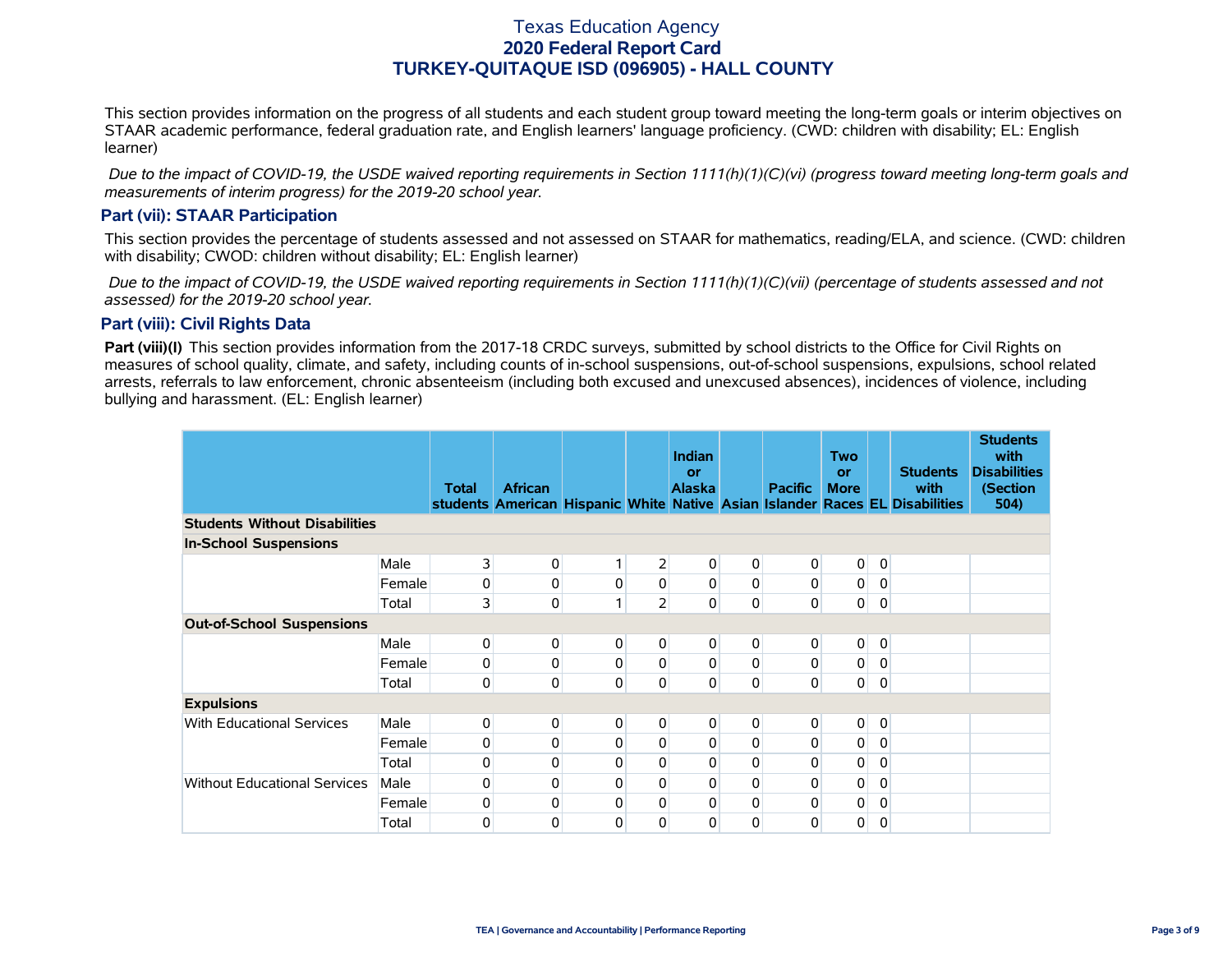This section provides information on the progress of all students and each student group toward meeting the long-term goals or interim objectives on STAAR academic performance, federal graduation rate, and English learners' language proficiency. (CWD: children with disability; EL: English learner)

 *Due to the impact of COVID-19, the USDE waived reporting requirements in Section 1111(h)(1)(C)(vi) (progress toward meeting long-term goals and measurements of interim progress) for the 2019-20 school year.*

## **Part (vii): STAAR Participation**

This section provides the percentage of students assessed and not assessed on STAAR for mathematics, reading/ELA, and science. (CWD: children with disability; CWOD: children without disability; EL: English learner)

 *Due to the impact of COVID-19, the USDE waived reporting requirements in Section 1111(h)(1)(C)(vii) (percentage of students assessed and not assessed) for the 2019-20 school year.*

## **Part (viii): Civil Rights Data**

**Part (viii)(I)** This section provides information from the 2017-18 CRDC surveys, submitted by school districts to the Office for Civil Rights on measures of school quality, climate, and safety, including counts of in-school suspensions, out-of-school suspensions, expulsions, school related arrests, referrals to law enforcement, chronic absenteeism (including both excused and unexcused absences), incidences of violence, including bullying and harassment. (EL: English learner)

|                                      |        | <b>Total</b>            | <b>African</b> |   |                | <b>Indian</b><br>or<br><b>Alaska</b> |             | <b>Pacific</b> | <b>Two</b><br><b>or</b><br><b>More</b> |              | <b>Students</b><br>with                                                      | <b>Students</b><br>with<br><b>Disabilities</b><br>(Section |
|--------------------------------------|--------|-------------------------|----------------|---|----------------|--------------------------------------|-------------|----------------|----------------------------------------|--------------|------------------------------------------------------------------------------|------------------------------------------------------------|
|                                      |        |                         |                |   |                |                                      |             |                |                                        |              | students American Hispanic White Native Asian Islander Races EL Disabilities | 504)                                                       |
| <b>Students Without Disabilities</b> |        |                         |                |   |                |                                      |             |                |                                        |              |                                                                              |                                                            |
| <b>In-School Suspensions</b>         |        |                         |                |   |                |                                      |             |                |                                        |              |                                                                              |                                                            |
|                                      | Male   | 3                       | 0              | 1 | $\overline{2}$ | 0                                    | $\mathbf 0$ | 0              | $\pmb{0}$                              | $\mathbf 0$  |                                                                              |                                                            |
|                                      | Female | 0                       | 0              | 0 | 0              | $\overline{0}$                       | $\mathbf 0$ | 0              | 0                                      | 0            |                                                                              |                                                            |
|                                      | Total  | $\overline{\mathbf{3}}$ | $\mathsf 0$    | 1 | $\overline{2}$ | 0                                    | $\mathbf 0$ | $\mathsf 0$    | 0                                      | 0            |                                                                              |                                                            |
| <b>Out-of-School Suspensions</b>     |        |                         |                |   |                |                                      |             |                |                                        |              |                                                                              |                                                            |
|                                      | Male   | 0                       | 0              | 0 | $\overline{0}$ | $\overline{0}$                       | $\pmb{0}$   | 0              | $\mathbf 0$                            | $\mathbf 0$  |                                                                              |                                                            |
|                                      | Female | 0                       | 0              | 0 | 0              | 0                                    | $\mathbf 0$ | $\mathbf 0$    | 0                                      | 0            |                                                                              |                                                            |
|                                      | Total  | 0                       | 0              | 0 | 0              | 0                                    | $\mathbf 0$ | $\mathsf 0$    | 0                                      | $\mathbf 0$  |                                                                              |                                                            |
| <b>Expulsions</b>                    |        |                         |                |   |                |                                      |             |                |                                        |              |                                                                              |                                                            |
| <b>With Educational Services</b>     | Male   | $\overline{0}$          | 0              | 0 | $\overline{0}$ | $\overline{0}$                       | $\mathbf 0$ | 0              | $\pmb{0}$                              | $\mathbf 0$  |                                                                              |                                                            |
|                                      | Female | 0                       | 0              | 0 | 0              | 0                                    | $\mathbf 0$ | $\pmb{0}$      | 0                                      | 0            |                                                                              |                                                            |
|                                      | Total  | $\overline{0}$          | 0              | 0 | 0              | 0                                    | 0           | 0              | 0                                      | $\mathbf{0}$ |                                                                              |                                                            |
| <b>Without Educational Services</b>  | Male   | $\overline{0}$          | 0              | 0 | 0              | 0                                    | 0           | 0              | 0                                      | $\mathbf{0}$ |                                                                              |                                                            |
|                                      | Female | $\overline{0}$          | 0              | 0 | 0              | 0                                    | $\mathbf 0$ | $\pmb{0}$      | 0                                      | 0            |                                                                              |                                                            |
|                                      | Total  | $\overline{0}$          | 0              | 0 | $\Omega$       | 0                                    | 0           | $\Omega$       | 0                                      | $\mathbf{0}$ |                                                                              |                                                            |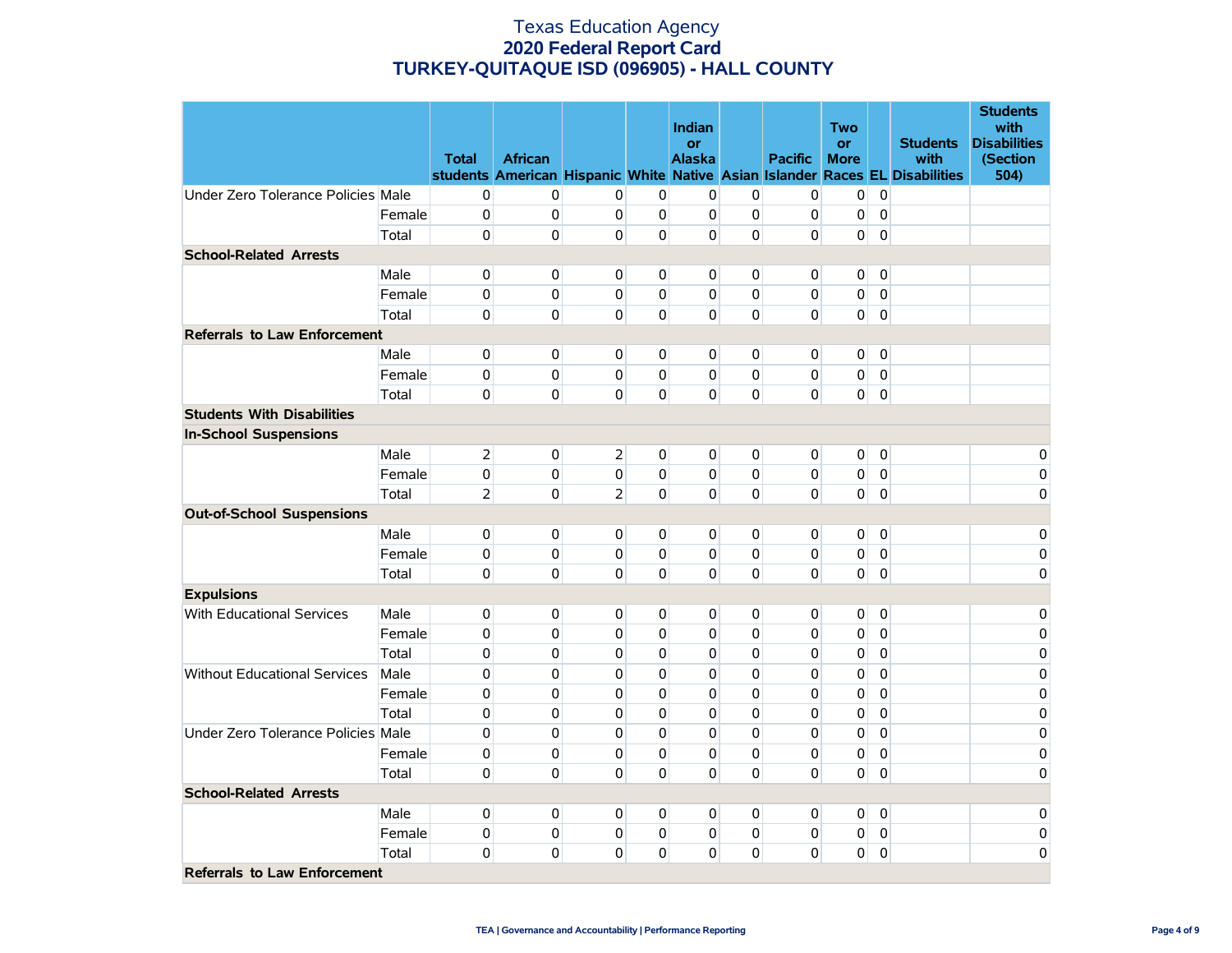|                                     |        |                |                |                |                | Indian              |             |                | <b>Two</b>               |                |                                                                              | <b>Students</b><br>with         |
|-------------------------------------|--------|----------------|----------------|----------------|----------------|---------------------|-------------|----------------|--------------------------|----------------|------------------------------------------------------------------------------|---------------------------------|
|                                     |        | <b>Total</b>   | <b>African</b> |                |                | or<br><b>Alaska</b> |             | <b>Pacific</b> | <b>or</b><br><b>More</b> |                | <b>Students</b><br>with                                                      | <b>Disabilities</b><br>(Section |
|                                     |        |                |                |                |                |                     |             |                |                          |                | students American Hispanic White Native Asian Islander Races EL Disabilities | 504)                            |
| Under Zero Tolerance Policies Male  |        | 0              | 0              | 0              | $\mathbf 0$    | 0                   | 0           | 0              | $\overline{0}$           | $\mathbf 0$    |                                                                              |                                 |
|                                     | Female | $\mathbf 0$    | 0              | $\mathbf 0$    | $\pmb{0}$      | $\overline{0}$      | $\mathsf 0$ | 0              | 0                        | $\pmb{0}$      |                                                                              |                                 |
|                                     | Total  | $\overline{0}$ | $\mathbf{0}$   | 0              | 0              | $\Omega$            | $\mathbf 0$ | $\Omega$       | $\overline{0}$           | $\mathbf 0$    |                                                                              |                                 |
| <b>School-Related Arrests</b>       |        |                |                |                |                |                     |             |                |                          |                |                                                                              |                                 |
|                                     | Male   | $\overline{0}$ | $\mathbf 0$    | $\mathbf{0}$   | $\mathbf 0$    | $\overline{0}$      | $\mathbf 0$ | $\mathbf 0$    | 0                        | $\mathbf 0$    |                                                                              |                                 |
|                                     | Female | $\mathbf 0$    | 0              | 0              | $\mathbf 0$    | $\overline{0}$      | $\mathbf 0$ | $\mathbf 0$    | $\overline{0}$           | $\pmb{0}$      |                                                                              |                                 |
|                                     | Total  | $\overline{0}$ | $\overline{0}$ | $\Omega$       | $\Omega$       | $\overline{0}$      | $\mathbf 0$ | $\mathbf 0$    | $\overline{0}$           | $\mathbf 0$    |                                                                              |                                 |
| <b>Referrals to Law Enforcement</b> |        |                |                |                |                |                     |             |                |                          |                |                                                                              |                                 |
|                                     | Male   | $\overline{0}$ | $\overline{0}$ | $\mathbf{0}$   | 0              | $\overline{0}$      | 0           | 0              | $\overline{0}$           | $\mathbf 0$    |                                                                              |                                 |
|                                     | Female | $\overline{0}$ | $\mathbf{0}$   | $\mathbf{0}$   | 0              | $\overline{0}$      | 0           | 0              | 0                        | 0              |                                                                              |                                 |
|                                     | Total  | $\overline{0}$ | $\mathbf 0$    | 0              | $\mathbf{0}$   | $\mathbf{0}$        | $\mathbf 0$ | $\mathbf 0$    | $\overline{0}$           | $\mathbf 0$    |                                                                              |                                 |
| <b>Students With Disabilities</b>   |        |                |                |                |                |                     |             |                |                          |                |                                                                              |                                 |
| <b>In-School Suspensions</b>        |        |                |                |                |                |                     |             |                |                          |                |                                                                              |                                 |
|                                     | Male   | $\overline{2}$ | 0              | $\overline{2}$ | 0              | $\overline{0}$      | 0           | 0              | 0                        | $\overline{0}$ |                                                                              | 0                               |
|                                     | Female | $\mathbf 0$    | $\mathbf{0}$   | 0              | $\mathbf 0$    | $\overline{0}$      | $\mathbf 0$ | $\mathbf 0$    | $\overline{0}$           | $\mathbf 0$    |                                                                              | 0                               |
|                                     | Total  | $\overline{2}$ | $\mathbf{0}$   | $\overline{2}$ | 0              | $\overline{0}$      | 0           | $\mathbf 0$    | $\overline{0}$           | $\mathbf 0$    |                                                                              | 0                               |
| <b>Out-of-School Suspensions</b>    |        |                |                |                |                |                     |             |                |                          |                |                                                                              |                                 |
|                                     | Male   | $\overline{0}$ | $\overline{0}$ | $\overline{0}$ | $\overline{0}$ | $\overline{0}$      | 0           | $\overline{0}$ | $\overline{0}$           | $\mathbf 0$    |                                                                              | 0                               |
|                                     | Female | $\overline{0}$ | $\mathbf{0}$   | $\mathbf{0}$   | $\overline{0}$ | $\overline{0}$      | $\mathbf 0$ | 0              | $\overline{0}$           | $\mathbf 0$    |                                                                              | 0                               |
|                                     | Total  | $\overline{0}$ | $\mathbf{0}$   | 0              | $\mathbf 0$    | $\overline{0}$      | $\mathbf 0$ | $\mathbf 0$    | 0                        | $\pmb{0}$      |                                                                              | 0                               |
| <b>Expulsions</b>                   |        |                |                |                |                |                     |             |                |                          |                |                                                                              |                                 |
| <b>With Educational Services</b>    | Male   | $\overline{0}$ | $\mathbf{0}$   | $\mathbf{0}$   | 0              | $\overline{0}$      | 0           | 0              | 0                        | 0              |                                                                              | 0                               |
|                                     | Female | $\overline{0}$ | $\mathbf{0}$   | 0              | $\Omega$       | $\Omega$            | $\mathbf 0$ | $\mathbf 0$    | 0                        | $\mathbf 0$    |                                                                              | 0                               |
|                                     | Total  | $\overline{0}$ | $\mathbf{0}$   | 0              | $\mathbf 0$    | $\overline{0}$      | $\mathbf 0$ | $\mathbf 0$    | 0                        | $\mathbf 0$    |                                                                              | 0                               |
| <b>Without Educational Services</b> | Male   | $\overline{0}$ | $\mathbf{0}$   | 0              | $\mathbf 0$    | $\mathbf 0$         | 0           | $\mathbf 0$    | 0                        | $\mathbf 0$    |                                                                              | 0                               |
|                                     | Female | 0              | 0              | 0              | 0              | $\mathbf 0$         | $\mathbf 0$ | $\mathbf 0$    | 0                        | $\mathbf 0$    |                                                                              | 0                               |
|                                     | Total  | $\mathbf 0$    | 0              | 0              | 0              | $\Omega$            | $\mathbf 0$ | $\mathbf 0$    | 0                        | $\mathbf 0$    |                                                                              | 0                               |
| Under Zero Tolerance Policies Male  |        | $\mathbf 0$    | 0              | 0              | 0              | $\mathbf 0$         | 0           | $\mathbf 0$    | 0                        | $\mathbf 0$    |                                                                              | 0                               |
|                                     | Female | 0              | 0              | $\mathbf 0$    | 0              | $\mathbf 0$         | 0           | $\mathbf 0$    | 0                        | $\mathbf 0$    |                                                                              | 0                               |
|                                     | Total  | $\overline{0}$ | $\mathbf{0}$   | $\Omega$       | $\Omega$       | $\Omega$            | 0           | $\mathbf 0$    | $\overline{0}$           | $\mathbf 0$    |                                                                              | 0                               |
| <b>School-Related Arrests</b>       |        |                |                |                |                |                     |             |                |                          |                |                                                                              |                                 |
|                                     | Male   | $\mathbf 0$    | $\overline{0}$ | 0              | $\overline{0}$ | $\overline{0}$      | 0           | 0              | $\overline{0}$           | $\overline{0}$ |                                                                              | 0                               |
|                                     | Female | $\mathbf 0$    | $\mathbf{0}$   | 0              | 0              | $\Omega$            | $\mathbf 0$ | $\mathbf 0$    | 0                        | $\mathbf 0$    |                                                                              | 0                               |
|                                     | Total  | 0              | 0              | 0              | 0              | $\Omega$            | 0           | $\mathbf 0$    | 0                        | $\mathbf 0$    |                                                                              | 0                               |
| <b>Referrals to Law Enforcement</b> |        |                |                |                |                |                     |             |                |                          |                |                                                                              |                                 |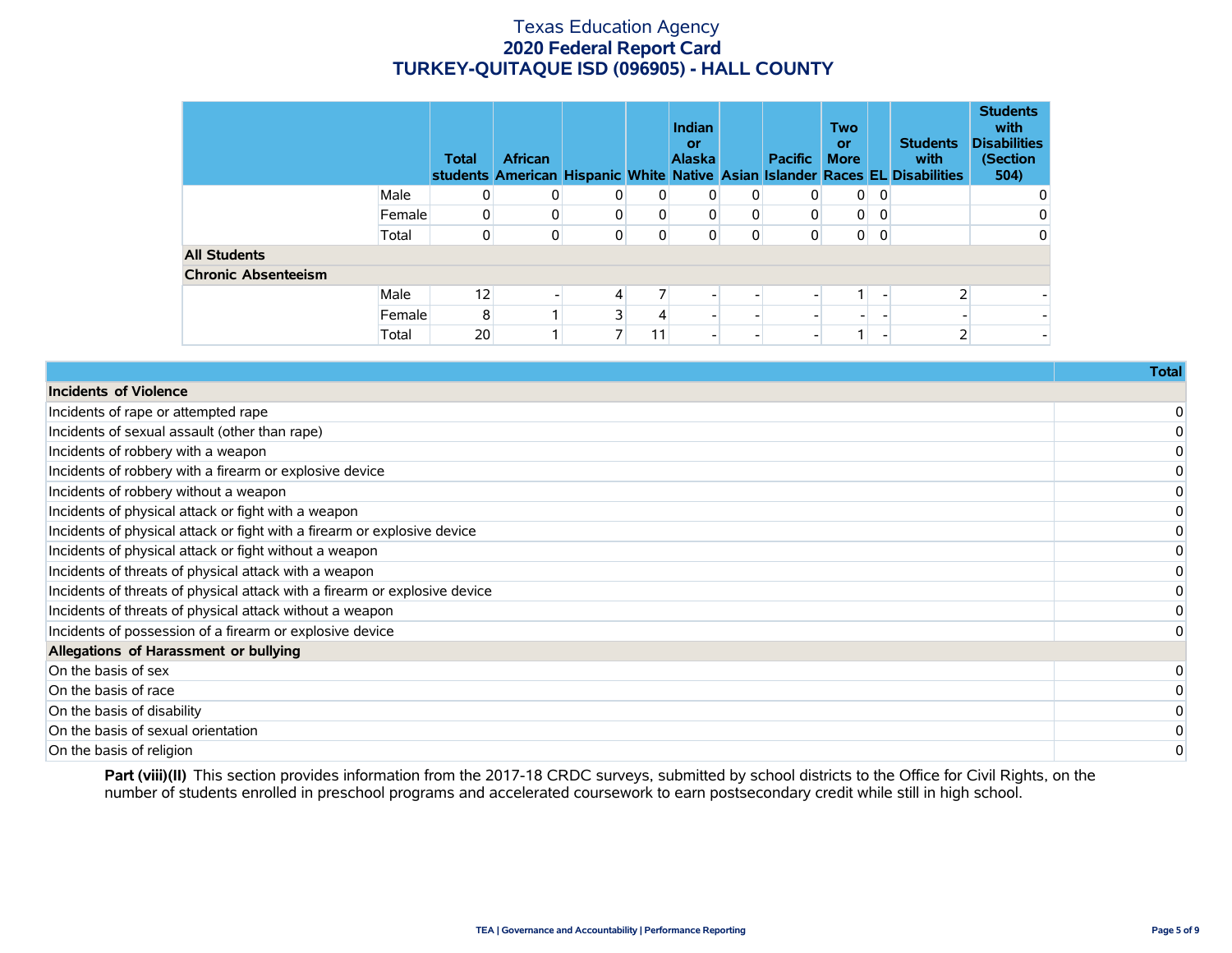|                            |        | <b>Total</b> | <b>African</b> |   |    | Indian<br>or<br><b>Alaska</b> |   | <b>Pacific</b> | <b>Two</b><br>or<br><b>More</b> |              | <b>Students</b><br>with<br>students American Hispanic White Native Asian Islander Races EL Disabilities | <b>Students</b><br>with<br><b>Disabilities</b><br>(Section<br>504) |
|----------------------------|--------|--------------|----------------|---|----|-------------------------------|---|----------------|---------------------------------|--------------|---------------------------------------------------------------------------------------------------------|--------------------------------------------------------------------|
|                            | Male   | 0            | 0              | 0 |    | 0                             | 0 | $\Omega$       | $\overline{0}$                  | 0            |                                                                                                         | 0                                                                  |
|                            | Female | 0            | 0              |   |    | 0                             | 0 | 0              | 0                               | $\mathbf{0}$ |                                                                                                         | 0                                                                  |
|                            | Total  | 0            | 0              |   | 0  | 0                             | 0 | 0              | $\overline{0}$                  | 0            |                                                                                                         | 0                                                                  |
| <b>All Students</b>        |        |              |                |   |    |                               |   |                |                                 |              |                                                                                                         |                                                                    |
| <b>Chronic Absenteeism</b> |        |              |                |   |    |                               |   |                |                                 |              |                                                                                                         |                                                                    |
|                            | Male   | 12           |                | 4 |    |                               |   |                |                                 |              |                                                                                                         |                                                                    |
|                            | Female | 8            |                | ٦ |    |                               |   |                |                                 |              |                                                                                                         | $\overline{\phantom{a}}$                                           |
|                            | Total  | 20           |                |   | 11 |                               |   |                |                                 |              |                                                                                                         | $\overline{\phantom{a}}$                                           |

| 0 |
|---|
|   |

Part (viii)(II) This section provides information from the 2017-18 CRDC surveys, submitted by school districts to the Office for Civil Rights, on the number of students enrolled in preschool programs and accelerated coursework to earn postsecondary credit while still in high school.

**Total**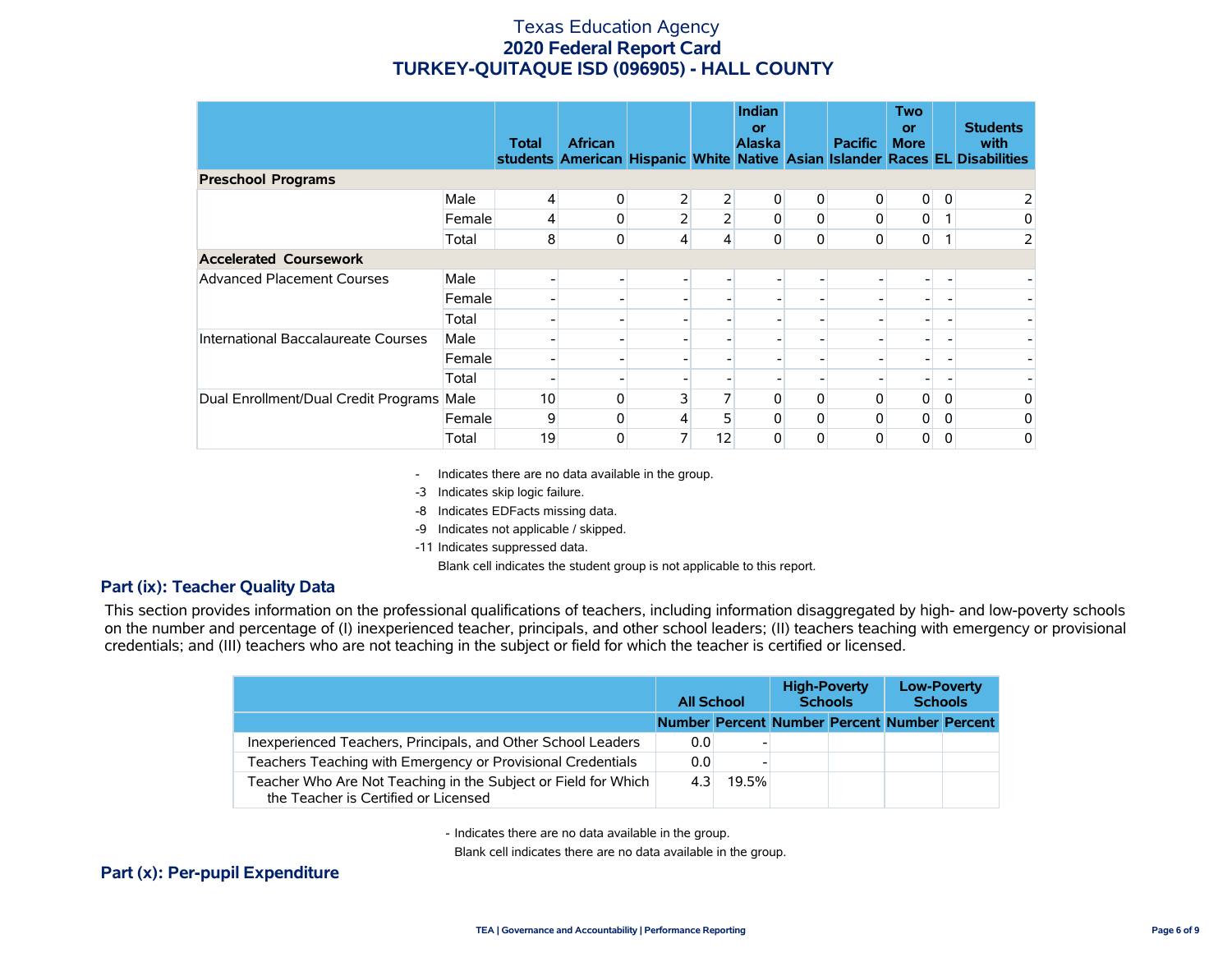|                                           |        | <b>Total</b> | <b>African</b> |                |    | <b>Indian</b><br>or<br><b>Alaska</b> |   | <b>Pacific</b> | Two<br>or<br><b>More</b> |   | <b>Students</b><br>with<br>students American Hispanic White Native Asian Islander Races EL Disabilities |
|-------------------------------------------|--------|--------------|----------------|----------------|----|--------------------------------------|---|----------------|--------------------------|---|---------------------------------------------------------------------------------------------------------|
| <b>Preschool Programs</b>                 |        |              |                |                |    |                                      |   |                |                          |   |                                                                                                         |
|                                           | Male   |              | 0              | $\overline{2}$ | 2  | 0                                    | 0 | 0              | $\overline{0}$           | 0 |                                                                                                         |
|                                           | Female | 4            | 0              | $\overline{2}$ |    | 0                                    | 0 | 0              | $\overline{0}$           |   | 0                                                                                                       |
|                                           | Total  | 8            | 0              | 4              | 4  | 0                                    | 0 | 0              | $\mathbf{0}$             |   | 2                                                                                                       |
| <b>Accelerated Coursework</b>             |        |              |                |                |    |                                      |   |                |                          |   |                                                                                                         |
| <b>Advanced Placement Courses</b>         | Male   |              |                |                |    |                                      |   |                |                          |   |                                                                                                         |
|                                           | Female |              |                |                |    |                                      |   |                |                          |   |                                                                                                         |
|                                           | Total  |              |                |                |    |                                      |   |                |                          |   |                                                                                                         |
| International Baccalaureate Courses       | Male   |              |                |                |    |                                      |   |                |                          |   |                                                                                                         |
|                                           | Female |              |                |                |    |                                      |   |                |                          |   |                                                                                                         |
|                                           | Total  |              |                |                |    |                                      |   |                |                          |   |                                                                                                         |
| Dual Enrollment/Dual Credit Programs Male |        | 10           | $\mathbf{0}$   | 3              |    | 0                                    | 0 | $\Omega$       | $\overline{0}$           | 0 | 0                                                                                                       |
|                                           | Female | 9            | O              | 4              |    | 0                                    | 0 | 0              | 0                        | 0 | 0                                                                                                       |
|                                           | Total  | 19           | 0              | 7              | 12 | $\Omega$                             | 0 |                | 0                        | 0 | 0                                                                                                       |

- Indicates there are no data available in the group.

-3 Indicates skip logic failure.

-8 Indicates EDFacts missing data.

-9 Indicates not applicable / skipped.

-11 Indicates suppressed data.

Blank cell indicates the student group is not applicable to this report.

### **Part (ix): Teacher Quality Data**

This section provides information on the professional qualifications of teachers, including information disaggregated by high- and low-poverty schools on the number and percentage of (I) inexperienced teacher, principals, and other school leaders; (II) teachers teaching with emergency or provisional credentials; and (III) teachers who are not teaching in the subject or field for which the teacher is certified or licensed.

|                                                                                                        | <b>All School</b>                            |       | <b>High-Poverty</b><br><b>Schools</b> |  | <b>Low-Poverty</b><br><b>Schools</b> |  |
|--------------------------------------------------------------------------------------------------------|----------------------------------------------|-------|---------------------------------------|--|--------------------------------------|--|
|                                                                                                        | Number Percent Number Percent Number Percent |       |                                       |  |                                      |  |
| Inexperienced Teachers, Principals, and Other School Leaders                                           | 0.0                                          |       |                                       |  |                                      |  |
| Teachers Teaching with Emergency or Provisional Credentials                                            | 0.0                                          |       |                                       |  |                                      |  |
| Teacher Who Are Not Teaching in the Subject or Field for Which<br>the Teacher is Certified or Licensed | 4.31                                         | 19.5% |                                       |  |                                      |  |

- Indicates there are no data available in the group.

Blank cell indicates there are no data available in the group.

## **Part (x): Per-pupil Expenditure**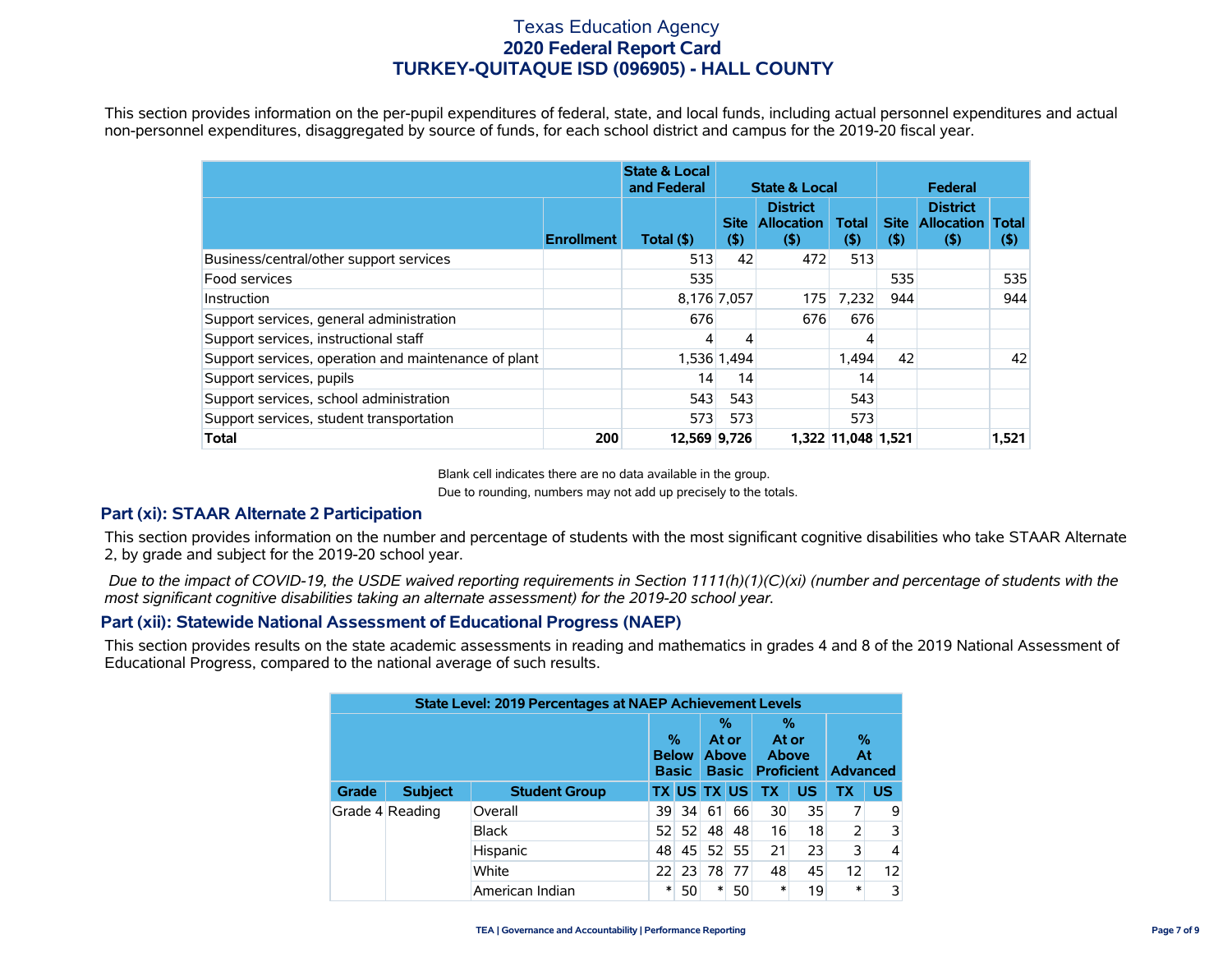This section provides information on the per-pupil expenditures of federal, state, and local funds, including actual personnel expenditures and actual non-personnel expenditures, disaggregated by source of funds, for each school district and campus for the 2019-20 fiscal year.

|                                                      |                   | <b>State &amp; Local</b><br>and Federal | <b>State &amp; Local</b> |                                                |                        | Federal                |                                                 |                         |
|------------------------------------------------------|-------------------|-----------------------------------------|--------------------------|------------------------------------------------|------------------------|------------------------|-------------------------------------------------|-------------------------|
|                                                      | <b>Enrollment</b> | Total (\$)                              | <b>Site</b><br>$($ \$    | <b>District</b><br><b>Allocation</b><br>$($ \$ | <b>Total</b><br>$($ \$ | <b>Site</b><br>$($ \$) | <b>District</b><br><b>Allocation</b><br>$($ \$) | <b>Total</b><br>$($ \$) |
| Business/central/other support services              |                   | 513                                     | 42                       | 472                                            | 513                    |                        |                                                 |                         |
| Food services                                        |                   | 535                                     |                          |                                                |                        | 535                    |                                                 | 535                     |
| Instruction                                          |                   | 8,176 7,057                             |                          | 175                                            | 7.232                  | 944                    |                                                 | 944                     |
| Support services, general administration             |                   | 676                                     |                          | 676                                            | 676                    |                        |                                                 |                         |
| Support services, instructional staff                |                   |                                         |                          |                                                | 4                      |                        |                                                 |                         |
| Support services, operation and maintenance of plant |                   | 1,536 1,494                             |                          |                                                | 1.494                  | 42                     |                                                 | 42                      |
| Support services, pupils                             |                   | 14                                      | 14                       |                                                | 14                     |                        |                                                 |                         |
| Support services, school administration              |                   | 543                                     | 543                      |                                                | 543                    |                        |                                                 |                         |
| Support services, student transportation             |                   | 573                                     | 573                      |                                                | 573                    |                        |                                                 |                         |
| <b>Total</b>                                         | 200               | 12,569 9,726                            |                          |                                                | 1,322 11,048 1,521     |                        |                                                 | 1,521                   |

Blank cell indicates there are no data available in the group.

Due to rounding, numbers may not add up precisely to the totals.

## **Part (xi): STAAR Alternate 2 Participation**

This section provides information on the number and percentage of students with the most significant cognitive disabilities who take STAAR Alternate 2, by grade and subject for the 2019-20 school year.

 *Due to the impact of COVID-19, the USDE waived reporting requirements in Section 1111(h)(1)(C)(xi) (number and percentage of students with the most significant cognitive disabilities taking an alternate assessment) for the 2019-20 school year.*

## **Part (xii): Statewide National Assessment of Educational Progress (NAEP)**

This section provides results on the state academic assessments in reading and mathematics in grades 4 and 8 of the 2019 National Assessment of Educational Progress, compared to the national average of such results.

|       |                 | <b>State Level: 2019 Percentages at NAEP Achievement Levels</b> |                                      |                 |                                            |    |                     |    |                                       |           |
|-------|-----------------|-----------------------------------------------------------------|--------------------------------------|-----------------|--------------------------------------------|----|---------------------|----|---------------------------------------|-----------|
|       |                 |                                                                 | $\%$<br><b>Below</b><br><b>Basic</b> |                 | %<br>At or<br><b>Above</b><br><b>Basic</b> |    | %<br>At or<br>Above |    | %<br>At<br><b>Proficient Advanced</b> |           |
| Grade | <b>Subject</b>  | <b>Student Group</b>                                            |                                      |                 | <b>TX US TX US</b>                         |    | <b>TX</b>           | US | ТΧ                                    | <b>US</b> |
|       | Grade 4 Reading | Overall                                                         | 39.                                  | -34             | 61                                         | 66 | 30                  | 35 |                                       | 9         |
|       |                 | <b>Black</b>                                                    | 52                                   | 52 <sub>1</sub> | 48                                         | 48 | 16                  | 18 | 2                                     | 3         |
|       |                 | Hispanic                                                        | 48                                   | 45              | 52                                         | 55 | 21                  | 23 | 3                                     | 4         |
|       |                 | White                                                           | 22                                   | 23              | 78                                         | 77 | 48                  | 45 | 12                                    | 12        |
|       |                 | American Indian                                                 | *                                    | 50              | $\ast$                                     | 50 | $\ast$              | 19 | $\ast$                                | 3         |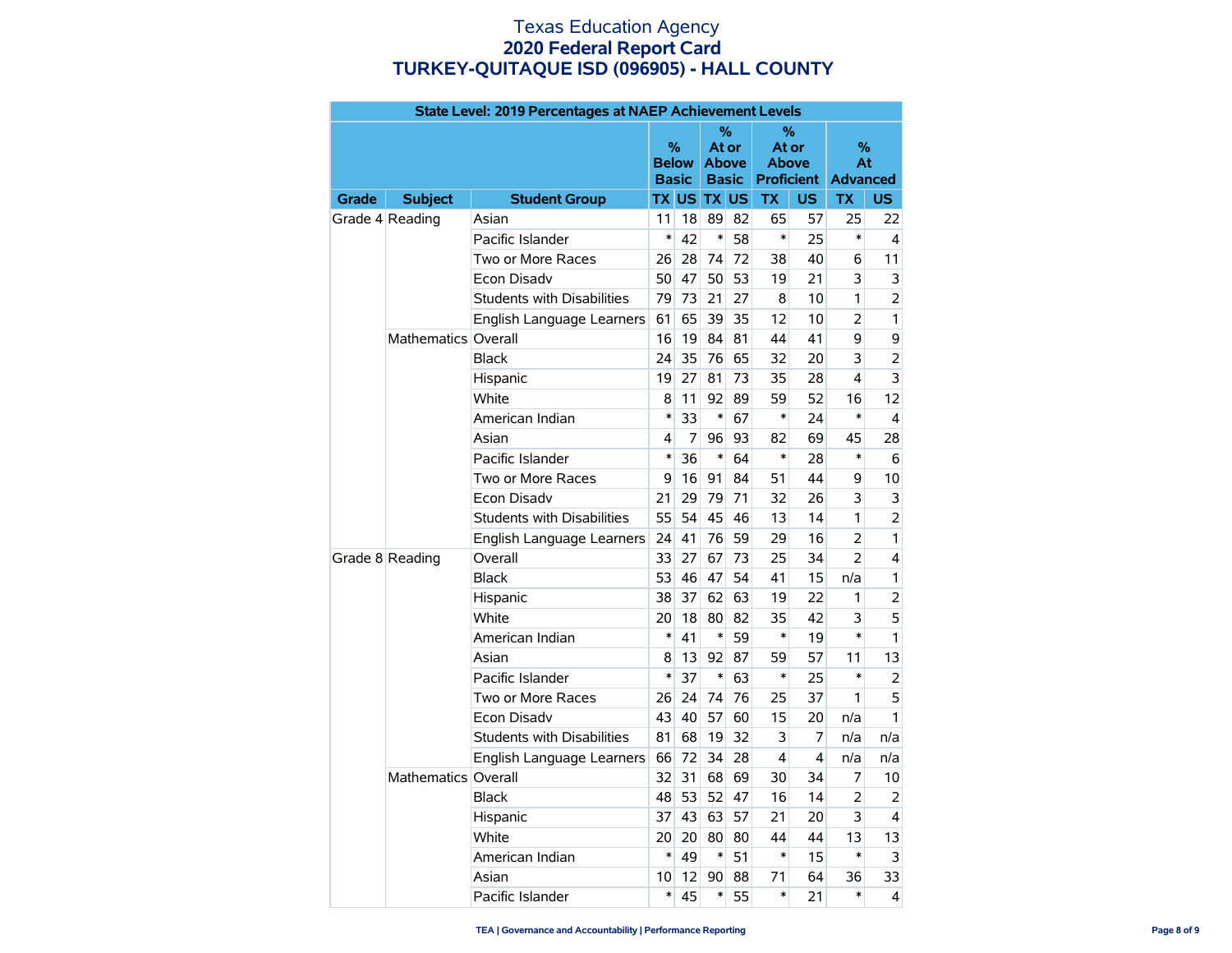|              | State Level: 2019 Percentages at NAEP Achievement Levels<br>%<br>% |                                   |                              |    |                              |       |              |                         |                       |                |  |
|--------------|--------------------------------------------------------------------|-----------------------------------|------------------------------|----|------------------------------|-------|--------------|-------------------------|-----------------------|----------------|--|
|              |                                                                    |                                   |                              |    |                              |       |              |                         |                       |                |  |
|              |                                                                    |                                   | $\%$                         |    |                              | At or |              | At or                   | ℅                     |                |  |
|              |                                                                    |                                   | <b>Below</b><br><b>Basic</b> |    | <b>Above</b><br><b>Basic</b> |       | <b>Above</b> | <b>Proficient</b>       | At<br><b>Advanced</b> |                |  |
| <b>Grade</b> | <b>Subject</b>                                                     | <b>Student Group</b>              |                              |    | <b>TX US TX US</b>           |       | <b>TX</b>    | <b>US</b>               | <b>TX</b>             | <b>US</b>      |  |
|              | Grade 4 Reading                                                    | Asian                             | 11                           | 18 | 89                           | 82    | 65           | 57                      | 25                    | 22             |  |
|              |                                                                    | Pacific Islander                  | $\ast$                       | 42 | $\ast$                       | 58    | $\ast$       | 25                      | $\ast$                | 4              |  |
|              |                                                                    | Two or More Races                 | 26                           | 28 | 74                           | 72    | 38           | 40                      | 6                     | 11             |  |
|              |                                                                    | Econ Disadv                       | 50                           | 47 | 50                           | 53    | 19           | 21                      | 3                     | 3              |  |
|              |                                                                    | <b>Students with Disabilities</b> | 79                           | 73 | 21                           | 27    | 8            | 10                      | 1                     | 2              |  |
|              |                                                                    | English Language Learners         | 61                           | 65 | 39                           | 35    | 12           | 10                      | 2                     | 1              |  |
|              | Mathematics Overall                                                |                                   | 16                           | 19 | 84                           | 81    | 44           | 41                      | 9                     | 9              |  |
|              |                                                                    | <b>Black</b>                      | 24                           | 35 | 76                           | 65    | 32           | 20                      | 3                     | $\overline{2}$ |  |
|              |                                                                    | Hispanic                          | 19                           | 27 | 81                           | 73    | 35           | 28                      | 4                     | 3              |  |
|              |                                                                    | White                             | 8                            | 11 | 92                           | 89    | 59           | 52                      | 16                    | 12             |  |
|              |                                                                    | American Indian                   | $\ast$                       | 33 | $\ast$                       | 67    | *            | 24                      | $\ast$                | 4              |  |
|              |                                                                    | Asian                             | 4                            | 7  | 96                           | 93    | 82           | 69                      | 45                    | 28             |  |
|              |                                                                    | Pacific Islander                  | $\ast$                       | 36 | $\ast$                       | 64    | $\ast$       | 28                      | $\ast$                | 6              |  |
|              |                                                                    | Two or More Races                 | 9                            | 16 | 91                           | 84    | 51           | 44                      | 9                     | 10             |  |
|              |                                                                    | Econ Disadv                       | 21                           | 29 | 79                           | 71    | 32           | 26                      | 3                     | 3              |  |
|              |                                                                    | <b>Students with Disabilities</b> | 55                           | 54 | 45                           | 46    | 13           | 14                      | 1                     | $\overline{2}$ |  |
|              |                                                                    | English Language Learners         | 24                           | 41 | 76                           | 59    | 29           | 16                      | $\overline{2}$        | 1              |  |
|              | Grade 8 Reading                                                    | Overall                           | 33                           | 27 | 67                           | 73    | 25           | 34                      | 2                     | 4              |  |
|              |                                                                    | <b>Black</b>                      | 53                           | 46 | 47                           | 54    | 41           | 15                      | n/a                   | 1              |  |
|              |                                                                    | Hispanic                          | 38                           | 37 | 62                           | 63    | 19           | 22                      | 1                     | $\overline{2}$ |  |
|              |                                                                    | White                             | 20                           | 18 | 80                           | 82    | 35           | 42                      | 3                     | 5              |  |
|              |                                                                    | American Indian                   | $\ast$                       | 41 | $\ast$                       | 59    | $\ast$       | 19                      | $\ast$                | $\mathbf{1}$   |  |
|              |                                                                    | Asian                             | 8                            | 13 | 92                           | 87    | 59           | 57                      | 11                    | 13             |  |
|              |                                                                    | Pacific Islander                  | $\ast$                       | 37 | $\ast$                       | 63    | $\ast$       | 25                      | $\ast$                | 2              |  |
|              |                                                                    | Two or More Races                 | 26                           | 24 | 74                           | 76    | 25           | 37                      | 1                     | 5              |  |
|              |                                                                    | Econ Disadv                       | 43                           | 40 | 57                           | 60    | 15           | 20                      | n/a                   | 1              |  |
|              |                                                                    | <b>Students with Disabilities</b> | 81                           | 68 | 19                           | 32    | 3            | 7                       | n/a                   | n/a            |  |
|              |                                                                    | English Language Learners         | 66                           | 72 | 34                           | 28    | 4            | $\overline{\mathbf{4}}$ | n/a                   | n/a            |  |
|              | Mathematics Overall                                                |                                   | 32                           | 31 | 68                           | 69    | 30           | 34                      | 7                     | 10             |  |
|              |                                                                    | <b>Black</b>                      | 48                           | 53 | 52                           | 47    | 16           | 14                      | $\overline{2}$        | 2              |  |
|              |                                                                    | Hispanic                          | 37                           | 43 | 63                           | 57    | 21           | 20                      | 3                     | 4              |  |
|              |                                                                    | White                             | 20                           | 20 | 80                           | 80    | 44           | 44                      | 13                    | 13             |  |
|              |                                                                    | American Indian                   | $\ast$                       | 49 | $\ast$                       | 51    | *            | 15                      | *                     | 3              |  |
|              |                                                                    | Asian                             | 10                           | 12 | 90                           | 88    | 71           | 64                      | 36                    | 33             |  |
|              |                                                                    | Pacific Islander                  | $\ast$                       | 45 | $\ast$                       | 55    | $\ast$       | 21                      | $\ast$                | 4              |  |